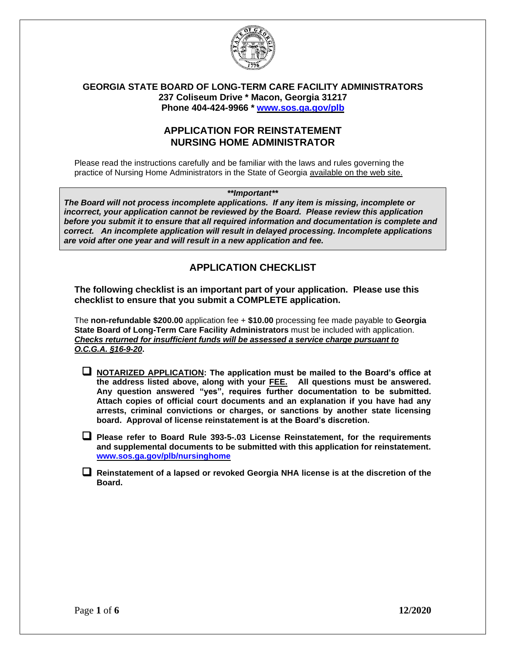

### **GEORGIA STATE BOARD OF LONG-TERM CARE FACILITY ADMINISTRATORS 237 Coliseum Drive \* Macon, Georgia 31217 Phone 404-424-9966 \* [www.sos.ga.gov/plb](http://www.sos.ga.gov/plb)**

## **APPLICATION FOR REINSTATEMENT NURSING HOME ADMINISTRATOR**

Please read the instructions carefully and be familiar with the laws and rules governing the practice of Nursing Home Administrators in the State of Georgia available on the web site.

*\*\*Important\*\**

*The Board will not process incomplete applications. If any item is missing, incomplete or incorrect, your application cannot be reviewed by the Board. Please review this application before you submit it to ensure that all required information and documentation is complete and correct. An incomplete application will result in delayed processing. Incomplete applications are void after one year and will result in a new application and fee.*

# **APPLICATION CHECKLIST**

### **The following checklist is an important part of your application. Please use this checklist to ensure that you submit a COMPLETE application.**

The **non-refundable \$200.00** application fee + **\$10.00** processing fee made payable to **Georgia State Board of Long-Term Care Facility Administrators** must be included with application. *Checks returned for insufficient funds will be assessed a service charge pursuant to O.C.G.A. §16-9-20***.**

- ❑ **NOTARIZED APPLICATION: The application must be mailed to the Board's office at the address listed above, along with your FEE. All questions must be answered. Any question answered "yes", requires further documentation to be submitted. Attach copies of official court documents and an explanation if you have had any arrests, criminal convictions or charges, or sanctions by another state licensing board. Approval of license reinstatement is at the Board's discretion.**
- ❑ **Please refer to Board Rule 393-5-.03 License Reinstatement, for the requirements and supplemental documents to be submitted with this application for reinstatement. [www.sos.ga.gov/plb/nursinghome](http://www.sos.ga.gov/plb/nursinghome)**
- ❑ **Reinstatement of a lapsed or revoked Georgia NHA license is at the discretion of the Board.**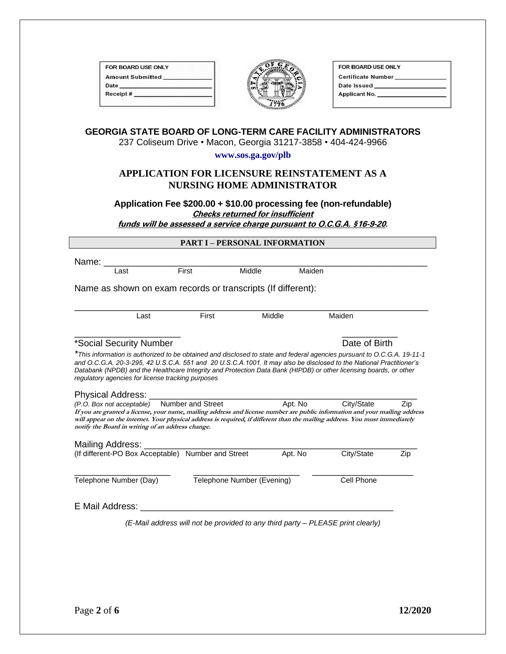| FOR BOARD USE ONLY      |  |
|-------------------------|--|
| <b>Amount Submitted</b> |  |
| Date                    |  |
| Receipt#                |  |



| OR BOARD USE ONLY         |  |
|---------------------------|--|
| <b>Certificate Number</b> |  |
| ate Issued                |  |
| Applicant No.             |  |
|                           |  |

# **GEORGIA STATE BOARD OF LONG-TERM CARE FACILITY ADMINISTRATORS**

237 Coliseum Drive • Macon, Georgia 31217-3858 • 404-424-9966

**www.sos.ga.gov/plb**

### **APPLICATION FOR LICENSURE REINSTATEMENT AS A NURSING HOME ADMINISTRATOR**

**Application Fee \$200.00 + \$10.00 processing fee (non-refundable) Checks returned for insufficient funds will be assessed a service charge pursuant to O.C.G.A. §16-9-20.**

| <b>PART I – PERSONAL INFORMATION</b> |  |
|--------------------------------------|--|
|                                      |  |

Name: \_\_\_\_\_\_\_\_\_\_\_\_\_\_\_\_\_\_\_\_\_\_\_\_\_\_\_\_\_\_\_\_\_\_\_\_\_\_\_\_\_\_\_\_\_\_\_\_\_\_\_\_\_\_\_\_\_\_\_\_\_\_\_\_ Last **First** Middle Maiden

Name as shown on exam records or transcripts (If different):

| 20 <sub>1</sub> | ___<br>. |  |
|-----------------|----------|--|

### \*Social Security Number **Number** 2004 **Date of Birth**

*\*This information is authorized to be obtained and disclosed to state and federal agencies pursuant to O.C.G.A. 19-11-1 and O.C.G.A. 20-3-295, 42 U.S.C.A. 551 and 20 U.S.C.A.1001. It may also be disclosed to the National Practitioner's Databank (NPDB) and the Healthcare Integrity and Protection Data Bank (HIPDB) or other licensing boards, or other regulatory agencies for license tracking purposes*

 $\overline{\phantom{a}}$  , and the contract of the contract of the contract of the contract of the contract of the contract of the contract of the contract of the contract of the contract of the contract of the contract of the contrac

#### Physical Address:

*(P.O. Box not acceptable)* Number and Street Apt. No City/State Zip **If you are granted a license, your name, mailing address and license number are public information and your mailing address will appear on the internet. Your physical address is required, if different than the mailing address. You must immediately notify the Board in writing of an address change.** 

| Mailing Address:<br>(If different-PO Box Acceptable) Number and Street |                            | Apt. No | City/State | Zip |
|------------------------------------------------------------------------|----------------------------|---------|------------|-----|
| Telephone Number (Day)                                                 | Telephone Number (Evening) |         | Cell Phone |     |
| E Mail Address:                                                        |                            |         |            |     |

*(E-Mail address will not be provided to any third party – PLEASE print clearly)*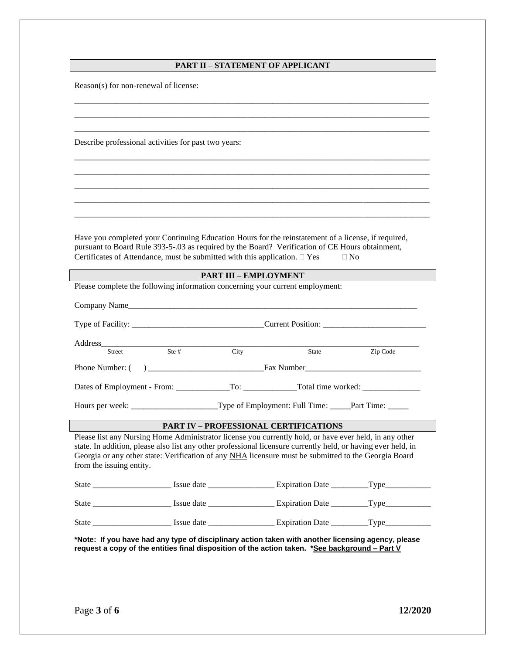### **PART II – STATEMENT OF APPLICANT**

\_\_\_\_\_\_\_\_\_\_\_\_\_\_\_\_\_\_\_\_\_\_\_\_\_\_\_\_\_\_\_\_\_\_\_\_\_\_\_\_\_\_\_\_\_\_\_\_\_\_\_\_\_\_\_\_\_\_\_\_\_\_\_\_\_\_\_\_\_\_\_\_\_\_\_\_\_\_\_\_\_\_\_\_\_\_ \_\_\_\_\_\_\_\_\_\_\_\_\_\_\_\_\_\_\_\_\_\_\_\_\_\_\_\_\_\_\_\_\_\_\_\_\_\_\_\_\_\_\_\_\_\_\_\_\_\_\_\_\_\_\_\_\_\_\_\_\_\_\_\_\_\_\_\_\_\_\_\_\_\_\_\_\_\_\_\_\_\_\_\_\_\_ \_\_\_\_\_\_\_\_\_\_\_\_\_\_\_\_\_\_\_\_\_\_\_\_\_\_\_\_\_\_\_\_\_\_\_\_\_\_\_\_\_\_\_\_\_\_\_\_\_\_\_\_\_\_\_\_\_\_\_\_\_\_\_\_\_\_\_\_\_\_\_\_\_\_\_\_\_\_\_\_\_\_\_\_\_\_

\_\_\_\_\_\_\_\_\_\_\_\_\_\_\_\_\_\_\_\_\_\_\_\_\_\_\_\_\_\_\_\_\_\_\_\_\_\_\_\_\_\_\_\_\_\_\_\_\_\_\_\_\_\_\_\_\_\_\_\_\_\_\_\_\_\_\_\_\_\_\_\_\_\_\_\_\_\_\_\_\_\_\_\_\_\_ \_\_\_\_\_\_\_\_\_\_\_\_\_\_\_\_\_\_\_\_\_\_\_\_\_\_\_\_\_\_\_\_\_\_\_\_\_\_\_\_\_\_\_\_\_\_\_\_\_\_\_\_\_\_\_\_\_\_\_\_\_\_\_\_\_\_\_\_\_\_\_\_\_\_\_\_\_\_\_\_\_\_\_\_\_\_ \_\_\_\_\_\_\_\_\_\_\_\_\_\_\_\_\_\_\_\_\_\_\_\_\_\_\_\_\_\_\_\_\_\_\_\_\_\_\_\_\_\_\_\_\_\_\_\_\_\_\_\_\_\_\_\_\_\_\_\_\_\_\_\_\_\_\_\_\_\_\_\_\_\_\_\_\_\_\_\_\_\_\_\_\_\_ \_\_\_\_\_\_\_\_\_\_\_\_\_\_\_\_\_\_\_\_\_\_\_\_\_\_\_\_\_\_\_\_\_\_\_\_\_\_\_\_\_\_\_\_\_\_\_\_\_\_\_\_\_\_\_\_\_\_\_\_\_\_\_\_\_\_\_\_\_\_\_\_\_\_\_\_\_\_\_\_\_\_\_\_\_\_ \_\_\_\_\_\_\_\_\_\_\_\_\_\_\_\_\_\_\_\_\_\_\_\_\_\_\_\_\_\_\_\_\_\_\_\_\_\_\_\_\_\_\_\_\_\_\_\_\_\_\_\_\_\_\_\_\_\_\_\_\_\_\_\_\_\_\_\_\_\_\_\_\_\_\_\_\_\_\_\_\_\_\_\_\_\_

Reason(s) for non-renewal of license:

Describe professional activities for past two years:

Have you completed your Continuing Education Hours for the reinstatement of a license, if required, pursuant to Board Rule 393-5-.03 as required by the Board? Verification of CE Hours obtainment, Certificates of Attendance, must be submitted with this application.  $\Box$  Yes  $\Box$  No

|                                                                               |                          | <b>PART III - EMPLOYMENT</b> |                                                                                                                                                                                                                                                                                                                                                                                 |  |  |  |
|-------------------------------------------------------------------------------|--------------------------|------------------------------|---------------------------------------------------------------------------------------------------------------------------------------------------------------------------------------------------------------------------------------------------------------------------------------------------------------------------------------------------------------------------------|--|--|--|
| Please complete the following information concerning your current employment: |                          |                              |                                                                                                                                                                                                                                                                                                                                                                                 |  |  |  |
|                                                                               |                          |                              |                                                                                                                                                                                                                                                                                                                                                                                 |  |  |  |
|                                                                               |                          |                              |                                                                                                                                                                                                                                                                                                                                                                                 |  |  |  |
| Ste #                                                                         | City                     | State                        | Zip Code                                                                                                                                                                                                                                                                                                                                                                        |  |  |  |
|                                                                               |                          |                              |                                                                                                                                                                                                                                                                                                                                                                                 |  |  |  |
|                                                                               |                          |                              |                                                                                                                                                                                                                                                                                                                                                                                 |  |  |  |
|                                                                               |                          |                              |                                                                                                                                                                                                                                                                                                                                                                                 |  |  |  |
|                                                                               |                          |                              |                                                                                                                                                                                                                                                                                                                                                                                 |  |  |  |
|                                                                               |                          |                              |                                                                                                                                                                                                                                                                                                                                                                                 |  |  |  |
|                                                                               |                          |                              |                                                                                                                                                                                                                                                                                                                                                                                 |  |  |  |
|                                                                               |                          |                              |                                                                                                                                                                                                                                                                                                                                                                                 |  |  |  |
|                                                                               |                          |                              |                                                                                                                                                                                                                                                                                                                                                                                 |  |  |  |
|                                                                               | from the issuing entity. |                              | <b>PART IV – PROFESSIONAL CERTIFICATIONS</b><br>Please list any Nursing Home Administrator license you currently hold, or have ever held, in any other<br>state. In addition, please also list any other professional licensure currently held, or having ever held, in<br>Georgia or any other state: Verification of any NHA licensure must be submitted to the Georgia Board |  |  |  |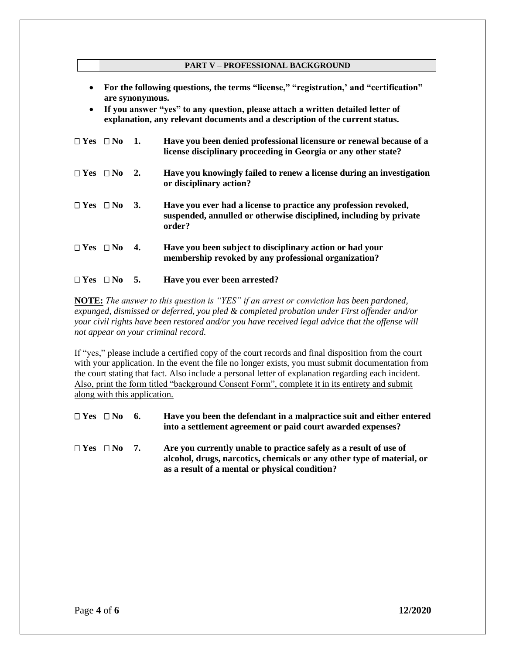#### **PART V – PROFESSIONAL BACKGROUND**

- **For the following questions, the terms "license," "registration,' and "certification" are synonymous.**
- **If you answer "yes" to any question, please attach a written detailed letter of explanation, any relevant documents and a description of the current status.**

| $\Box$ Yes $\Box$ No 1. |    | Have you been denied professional licensure or renewal because of a<br>license disciplinary proceeding in Georgia or any other state?           |
|-------------------------|----|-------------------------------------------------------------------------------------------------------------------------------------------------|
| $\Box$ Yes $\Box$ No 2. |    | Have you knowingly failed to renew a license during an investigation<br>or disciplinary action?                                                 |
| $\Box$ Yes $\Box$ No 3. |    | Have you ever had a license to practice any profession revoked,<br>suspended, annulled or otherwise disciplined, including by private<br>order? |
| $\Box$ Yes $\Box$ No    | 4. | Have you been subject to disciplinary action or had your<br>membership revoked by any professional organization?                                |

### **Yes No 5. Have you ever been arrested?**

**NOTE:** *The answer to this question is "YES" if an arrest or conviction has been pardoned, expunged, dismissed or deferred, you pled & completed probation under First offender and/or your civil rights have been restored and/or you have received legal advice that the offense will not appear on your criminal record.* 

If "yes," please include a certified copy of the court records and final disposition from the court with your application. In the event the file no longer exists, you must submit documentation from the court stating that fact. Also include a personal letter of explanation regarding each incident. Also, print the form titled "background Consent Form", complete it in its entirety and submit along with this application.

| $\Box$ Yes $\Box$ No 6. | Have you been the defendant in a malpractice suit and either entered |
|-------------------------|----------------------------------------------------------------------|
|                         | into a settlement agreement or paid court awarded expenses?          |

 $\Box$  **Yes**  $\Box$  **No** 7. **Are you currently unable to practice safely as a result of use of alcohol, drugs, narcotics, chemicals or any other type of material, or as a result of a mental or physical condition?**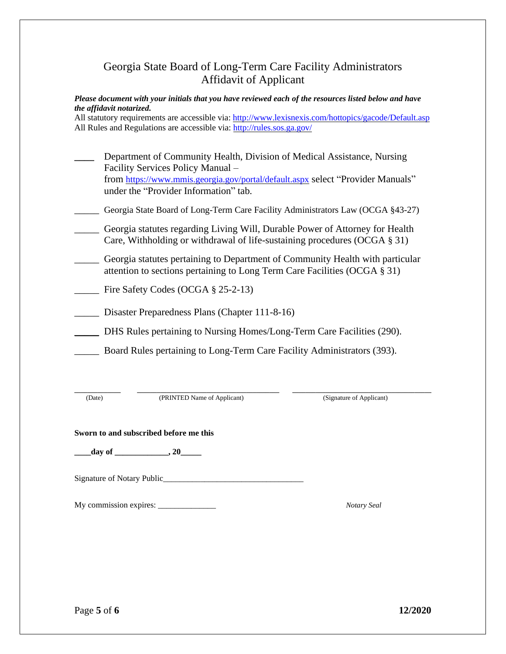# Georgia State Board of Long-Term Care Facility Administrators Affidavit of Applicant

*Please document with your initials that you have reviewed each of the resources listed below and have the affidavit notarized.* 

All statutory requirements are accessible via:<http://www.lexisnexis.com/hottopics/gacode/Default.asp> All Rules and Regulations are accessible via:<http://rules.sos.ga.gov/>

| Department of Community Health, Division of Medical Assistance, Nursing         |
|---------------------------------------------------------------------------------|
| Facility Services Policy Manual -                                               |
| from https://www.mmis.georgia.gov/portal/default.aspx select "Provider Manuals" |
| under the "Provider Information" tab.                                           |
| Georgia State Board of Long-Term Care Facility Administrators Law (OCGA §43-27) |
| Georgia statutes regarding Living Will, Durable Power of Attorney for Health    |
| Care, Withholding or withdrawal of life-sustaining procedures (OCGA $\S 31$ )   |
| Georgia statutes pertaining to Department of Community Health with particular   |
| attention to sections pertaining to Long Term Care Facilities (OCGA § 31)       |
| Fire Safety Codes (OCGA $\S$ 25-2-13)                                           |
|                                                                                 |
| Disaster Preparedness Plans (Chapter 111-8-16)                                  |
| DHS Rules pertaining to Nursing Homes/Long-Term Care Facilities (290).          |
|                                                                                 |
| Board Rules pertaining to Long-Term Care Facility Administrators (393).         |
|                                                                                 |

(Date) (PRINTED Name of Applicant) (Signature of Applicant)

**\_\_\_\_\_\_\_\_\_\_\_\_\_\_ \_\_\_\_\_\_\_\_\_\_\_\_\_\_\_\_\_\_\_\_\_\_\_\_\_\_\_\_\_\_\_\_\_\_\_\_\_\_\_\_\_\_\_ \_\_\_\_\_\_\_\_\_\_\_\_\_\_\_\_\_\_\_\_\_\_\_\_\_\_\_\_\_\_\_\_\_\_\_\_\_\_\_\_\_\_**

#### **Sworn to and subscribed before me this**

**\_\_\_\_day of \_\_\_\_\_\_\_\_\_\_\_\_\_, 20\_\_\_\_\_**

Signature of Notary Public\_\_\_\_\_\_\_\_\_\_\_\_\_\_\_\_\_\_\_\_\_\_\_\_\_\_\_\_\_\_\_\_\_\_

My commission expires: \_\_\_\_\_\_\_\_\_\_\_\_\_\_ *Notary Seal*